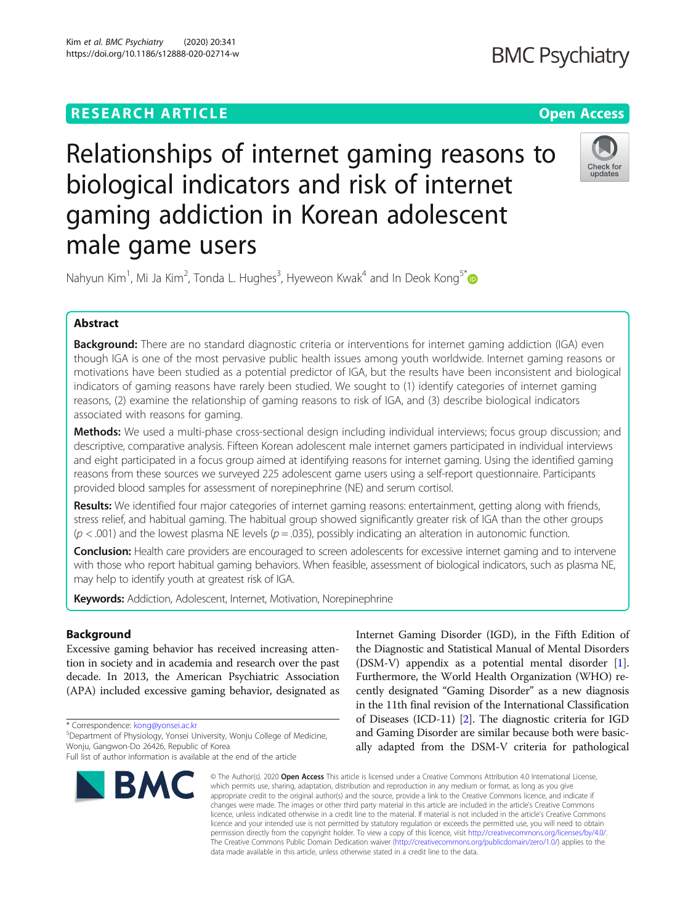# **RESEARCH ARTICLE Example 2014 12:30 The Contract of Contract ACCESS**



Relationships of internet gaming reasons to biological indicators and risk of internet gaming addiction in Korean adolescent male game users

Nahyun Kim<sup>1</sup>, Mi Ja Kim<sup>2</sup>, Tonda L. Hughes<sup>3</sup>, Hyeweon Kwak<sup>4</sup> and In Deok Kong<sup>5[\\*](http://orcid.org/0000-0002-9821-6103)</sup>

## Abstract

Background: There are no standard diagnostic criteria or interventions for internet gaming addiction (IGA) even though IGA is one of the most pervasive public health issues among youth worldwide. Internet gaming reasons or motivations have been studied as a potential predictor of IGA, but the results have been inconsistent and biological indicators of gaming reasons have rarely been studied. We sought to (1) identify categories of internet gaming reasons, (2) examine the relationship of gaming reasons to risk of IGA, and (3) describe biological indicators associated with reasons for gaming.

Methods: We used a multi-phase cross-sectional design including individual interviews; focus group discussion; and descriptive, comparative analysis. Fifteen Korean adolescent male internet gamers participated in individual interviews and eight participated in a focus group aimed at identifying reasons for internet gaming. Using the identified gaming reasons from these sources we surveyed 225 adolescent game users using a self-report questionnaire. Participants provided blood samples for assessment of norepinephrine (NE) and serum cortisol.

Results: We identified four major categories of internet gaming reasons: entertainment, getting along with friends, stress relief, and habitual gaming. The habitual group showed significantly greater risk of IGA than the other groups  $(p < .001)$  and the lowest plasma NE levels  $(p = .035)$ , possibly indicating an alteration in autonomic function.

**Conclusion:** Health care providers are encouraged to screen adolescents for excessive internet gaming and to intervene with those who report habitual gaming behaviors. When feasible, assessment of biological indicators, such as plasma NE, may help to identify youth at greatest risk of IGA.

Keywords: Addiction, Adolescent, Internet, Motivation, Norepinephrine

## Background

Excessive gaming behavior has received increasing attention in society and in academia and research over the past decade. In 2013, the American Psychiatric Association (APA) included excessive gaming behavior, designated as

\* Correspondence: [kong@yonsei.ac.kr](mailto:kong@yonsei.ac.kr) <sup>5</sup>

Department of Physiology, Yonsei University, Wonju College of Medicine, Wonju, Gangwon-Do 26426, Republic of Korea

Full list of author information is available at the end of the article



Internet Gaming Disorder (IGD), in the Fifth Edition of the Diagnostic and Statistical Manual of Mental Disorders (DSM-V) appendix as a potential mental disorder [[1](#page-6-0)]. Furthermore, the World Health Organization (WHO) recently designated "Gaming Disorder" as a new diagnosis in the 11th final revision of the International Classification of Diseases (ICD-11) [\[2](#page-6-0)]. The diagnostic criteria for IGD and Gaming Disorder are similar because both were basically adapted from the DSM-V criteria for pathological

© The Author(s), 2020 **Open Access** This article is licensed under a Creative Commons Attribution 4.0 International License, which permits use, sharing, adaptation, distribution and reproduction in any medium or format, as long as you give appropriate credit to the original author(s) and the source, provide a link to the Creative Commons licence, and indicate if changes were made. The images or other third party material in this article are included in the article's Creative Commons licence, unless indicated otherwise in a credit line to the material. If material is not included in the article's Creative Commons licence and your intended use is not permitted by statutory regulation or exceeds the permitted use, you will need to obtain permission directly from the copyright holder. To view a copy of this licence, visit [http://creativecommons.org/licenses/by/4.0/.](http://creativecommons.org/licenses/by/4.0/) The Creative Commons Public Domain Dedication waiver [\(http://creativecommons.org/publicdomain/zero/1.0/](http://creativecommons.org/publicdomain/zero/1.0/)) applies to the data made available in this article, unless otherwise stated in a credit line to the data.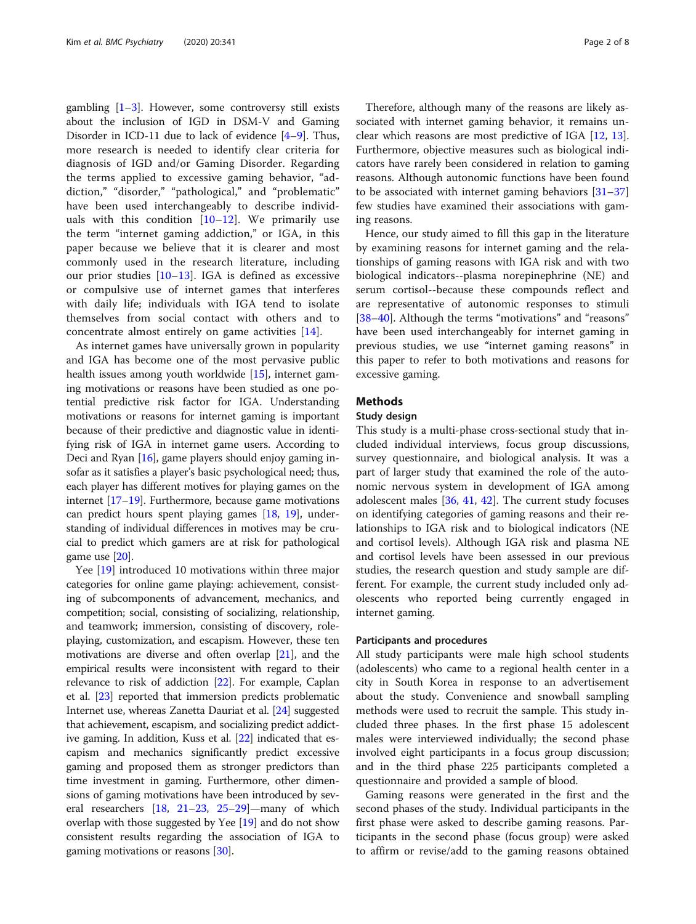gambling  $[1-3]$  $[1-3]$  $[1-3]$  $[1-3]$  $[1-3]$ . However, some controversy still exists about the inclusion of IGD in DSM-V and Gaming Disorder in ICD-11 due to lack of evidence [\[4](#page-6-0)–[9\]](#page-6-0). Thus, more research is needed to identify clear criteria for diagnosis of IGD and/or Gaming Disorder. Regarding the terms applied to excessive gaming behavior, "addiction," "disorder," "pathological," and "problematic" have been used interchangeably to describe individuals with this condition  $[10-12]$  $[10-12]$  $[10-12]$  $[10-12]$ . We primarily use the term "internet gaming addiction," or IGA, in this paper because we believe that it is clearer and most commonly used in the research literature, including our prior studies  $[10-13]$  $[10-13]$  $[10-13]$  $[10-13]$ . IGA is defined as excessive or compulsive use of internet games that interferes with daily life; individuals with IGA tend to isolate themselves from social contact with others and to concentrate almost entirely on game activities [[14\]](#page-6-0).

As internet games have universally grown in popularity and IGA has become one of the most pervasive public health issues among youth worldwide [[15](#page-6-0)], internet gaming motivations or reasons have been studied as one potential predictive risk factor for IGA. Understanding motivations or reasons for internet gaming is important because of their predictive and diagnostic value in identifying risk of IGA in internet game users. According to Deci and Ryan [\[16\]](#page-6-0), game players should enjoy gaming insofar as it satisfies a player's basic psychological need; thus, each player has different motives for playing games on the internet [[17](#page-6-0)–[19\]](#page-6-0). Furthermore, because game motivations can predict hours spent playing games [[18](#page-6-0), [19\]](#page-6-0), understanding of individual differences in motives may be crucial to predict which gamers are at risk for pathological game use [[20](#page-6-0)].

Yee [[19\]](#page-6-0) introduced 10 motivations within three major categories for online game playing: achievement, consisting of subcomponents of advancement, mechanics, and competition; social, consisting of socializing, relationship, and teamwork; immersion, consisting of discovery, roleplaying, customization, and escapism. However, these ten motivations are diverse and often overlap [\[21\]](#page-6-0), and the empirical results were inconsistent with regard to their relevance to risk of addiction [[22\]](#page-6-0). For example, Caplan et al. [\[23](#page-6-0)] reported that immersion predicts problematic Internet use, whereas Zanetta Dauriat et al. [\[24\]](#page-6-0) suggested that achievement, escapism, and socializing predict addictive gaming. In addition, Kuss et al. [\[22\]](#page-6-0) indicated that escapism and mechanics significantly predict excessive gaming and proposed them as stronger predictors than time investment in gaming. Furthermore, other dimensions of gaming motivations have been introduced by several researchers [\[18,](#page-6-0) [21](#page-6-0)–[23,](#page-6-0) [25](#page-6-0)–[29\]](#page-6-0)—many of which overlap with those suggested by Yee [\[19](#page-6-0)] and do not show consistent results regarding the association of IGA to gaming motivations or reasons [\[30\]](#page-7-0).

Therefore, although many of the reasons are likely associated with internet gaming behavior, it remains unclear which reasons are most predictive of IGA [\[12,](#page-6-0) [13](#page-6-0)]. Furthermore, objective measures such as biological indicators have rarely been considered in relation to gaming reasons. Although autonomic functions have been found to be associated with internet gaming behaviors  $[31-37]$  $[31-37]$  $[31-37]$  $[31-37]$  $[31-37]$ few studies have examined their associations with gaming reasons.

Hence, our study aimed to fill this gap in the literature by examining reasons for internet gaming and the relationships of gaming reasons with IGA risk and with two biological indicators--plasma norepinephrine (NE) and serum cortisol--because these compounds reflect and are representative of autonomic responses to stimuli [[38](#page-7-0)–[40](#page-7-0)]. Although the terms "motivations" and "reasons" have been used interchangeably for internet gaming in previous studies, we use "internet gaming reasons" in this paper to refer to both motivations and reasons for excessive gaming.

## Methods

## Study design

This study is a multi-phase cross-sectional study that included individual interviews, focus group discussions, survey questionnaire, and biological analysis. It was a part of larger study that examined the role of the autonomic nervous system in development of IGA among adolescent males [[36,](#page-7-0) [41](#page-7-0), [42\]](#page-7-0). The current study focuses on identifying categories of gaming reasons and their relationships to IGA risk and to biological indicators (NE and cortisol levels). Although IGA risk and plasma NE and cortisol levels have been assessed in our previous studies, the research question and study sample are different. For example, the current study included only adolescents who reported being currently engaged in internet gaming.

## Participants and procedures

All study participants were male high school students (adolescents) who came to a regional health center in a city in South Korea in response to an advertisement about the study. Convenience and snowball sampling methods were used to recruit the sample. This study included three phases. In the first phase 15 adolescent males were interviewed individually; the second phase involved eight participants in a focus group discussion; and in the third phase 225 participants completed a questionnaire and provided a sample of blood.

Gaming reasons were generated in the first and the second phases of the study. Individual participants in the first phase were asked to describe gaming reasons. Participants in the second phase (focus group) were asked to affirm or revise/add to the gaming reasons obtained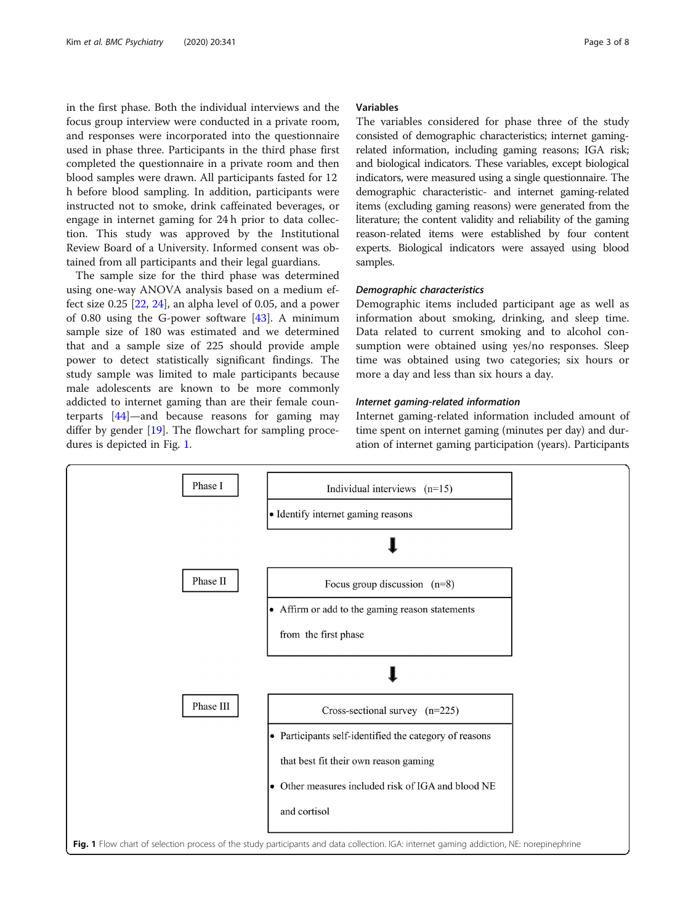in the first phase. Both the individual interviews and the focus group interview were conducted in a private room, and responses were incorporated into the questionnaire used in phase three. Participants in the third phase first completed the questionnaire in a private room and then blood samples were drawn. All participants fasted for 12 h before blood sampling. In addition, participants were instructed not to smoke, drink caffeinated beverages, or engage in internet gaming for 24 h prior to data collection. This study was approved by the Institutional Review Board of a University. Informed consent was obtained from all participants and their legal guardians.

The sample size for the third phase was determined using one-way ANOVA analysis based on a medium effect size 0.25 [\[22](#page-6-0), [24](#page-6-0)], an alpha level of 0.05, and a power of 0.80 using the G-power software [\[43](#page-7-0)]. A minimum sample size of 180 was estimated and we determined that and a sample size of 225 should provide ample power to detect statistically significant findings. The study sample was limited to male participants because male adolescents are known to be more commonly addicted to internet gaming than are their female counterparts [\[44](#page-7-0)]—and because reasons for gaming may differ by gender [[19\]](#page-6-0). The flowchart for sampling procedures is depicted in Fig. 1.

## Variables

The variables considered for phase three of the study consisted of demographic characteristics; internet gamingrelated information, including gaming reasons; IGA risk; and biological indicators. These variables, except biological indicators, were measured using a single questionnaire. The demographic characteristic- and internet gaming-related items (excluding gaming reasons) were generated from the literature; the content validity and reliability of the gaming reason-related items were established by four content experts. Biological indicators were assayed using blood samples.

## Demographic characteristics

Demographic items included participant age as well as information about smoking, drinking, and sleep time. Data related to current smoking and to alcohol consumption were obtained using yes/no responses. Sleep time was obtained using two categories; six hours or more a day and less than six hours a day.

## Internet gaming-related information

Internet gaming-related information included amount of time spent on internet gaming (minutes per day) and duration of internet gaming participation (years). Participants

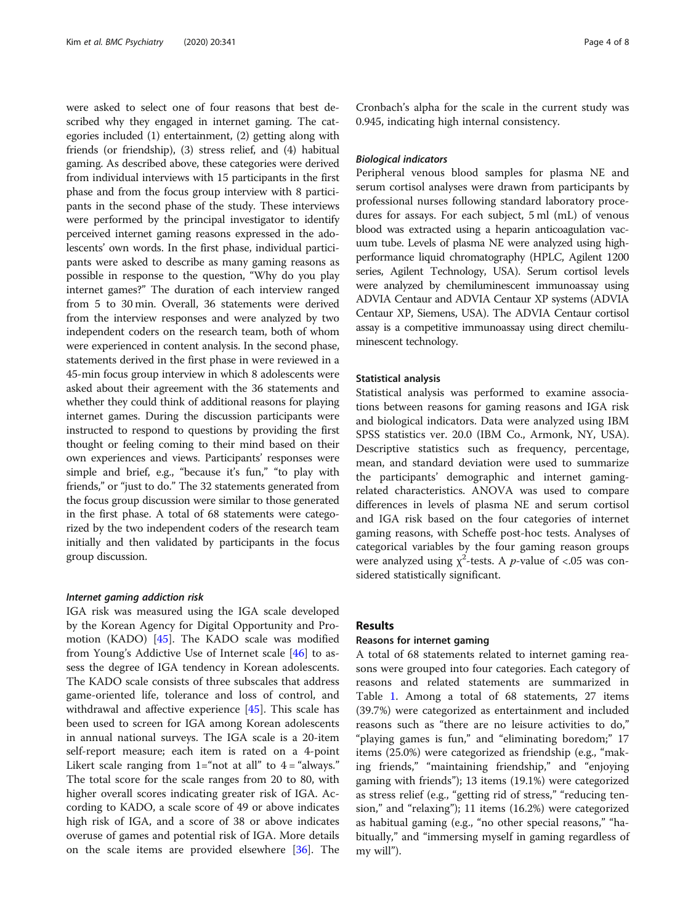were asked to select one of four reasons that best described why they engaged in internet gaming. The categories included (1) entertainment, (2) getting along with friends (or friendship), (3) stress relief, and (4) habitual gaming. As described above, these categories were derived from individual interviews with 15 participants in the first phase and from the focus group interview with 8 participants in the second phase of the study. These interviews were performed by the principal investigator to identify perceived internet gaming reasons expressed in the adolescents' own words. In the first phase, individual participants were asked to describe as many gaming reasons as possible in response to the question, "Why do you play internet games?" The duration of each interview ranged from 5 to 30 min. Overall, 36 statements were derived from the interview responses and were analyzed by two independent coders on the research team, both of whom were experienced in content analysis. In the second phase, statements derived in the first phase in were reviewed in a 45-min focus group interview in which 8 adolescents were asked about their agreement with the 36 statements and whether they could think of additional reasons for playing internet games. During the discussion participants were instructed to respond to questions by providing the first thought or feeling coming to their mind based on their own experiences and views. Participants' responses were simple and brief, e.g., "because it's fun," "to play with friends," or "just to do." The 32 statements generated from the focus group discussion were similar to those generated in the first phase. A total of 68 statements were categorized by the two independent coders of the research team initially and then validated by participants in the focus group discussion.

## Internet gaming addiction risk

IGA risk was measured using the IGA scale developed by the Korean Agency for Digital Opportunity and Promotion (KADO) [\[45](#page-7-0)]. The KADO scale was modified from Young's Addictive Use of Internet scale [[46\]](#page-7-0) to assess the degree of IGA tendency in Korean adolescents. The KADO scale consists of three subscales that address game-oriented life, tolerance and loss of control, and withdrawal and affective experience [[45](#page-7-0)]. This scale has been used to screen for IGA among Korean adolescents in annual national surveys. The IGA scale is a 20-item self-report measure; each item is rated on a 4-point Likert scale ranging from  $1 = \text{``not at all''}$  to  $4 = \text{``always."}$ The total score for the scale ranges from 20 to 80, with higher overall scores indicating greater risk of IGA. According to KADO, a scale score of 49 or above indicates high risk of IGA, and a score of 38 or above indicates overuse of games and potential risk of IGA. More details on the scale items are provided elsewhere [\[36](#page-7-0)]. The

Cronbach's alpha for the scale in the current study was 0.945, indicating high internal consistency.

## Biological indicators

Peripheral venous blood samples for plasma NE and serum cortisol analyses were drawn from participants by professional nurses following standard laboratory procedures for assays. For each subject, 5 ml (mL) of venous blood was extracted using a heparin anticoagulation vacuum tube. Levels of plasma NE were analyzed using highperformance liquid chromatography (HPLC, Agilent 1200 series, Agilent Technology, USA). Serum cortisol levels were analyzed by chemiluminescent immunoassay using ADVIA Centaur and ADVIA Centaur XP systems (ADVIA Centaur XP, Siemens, USA). The ADVIA Centaur cortisol assay is a competitive immunoassay using direct chemiluminescent technology.

## Statistical analysis

Statistical analysis was performed to examine associations between reasons for gaming reasons and IGA risk and biological indicators. Data were analyzed using IBM SPSS statistics ver. 20.0 (IBM Co., Armonk, NY, USA). Descriptive statistics such as frequency, percentage, mean, and standard deviation were used to summarize the participants' demographic and internet gamingrelated characteristics. ANOVA was used to compare differences in levels of plasma NE and serum cortisol and IGA risk based on the four categories of internet gaming reasons, with Scheffe post-hoc tests. Analyses of categorical variables by the four gaming reason groups were analyzed using  $\chi^2$ -tests. A *p*-value of <.05 was considered statistically significant.

## Results

## Reasons for internet gaming

A total of 68 statements related to internet gaming reasons were grouped into four categories. Each category of reasons and related statements are summarized in Table [1.](#page-4-0) Among a total of 68 statements, 27 items (39.7%) were categorized as entertainment and included reasons such as "there are no leisure activities to do," "playing games is fun," and "eliminating boredom;" 17 items (25.0%) were categorized as friendship (e.g., "making friends," "maintaining friendship," and "enjoying gaming with friends"); 13 items (19.1%) were categorized as stress relief (e.g., "getting rid of stress," "reducing tension," and "relaxing"); 11 items (16.2%) were categorized as habitual gaming (e.g., "no other special reasons," "habitually," and "immersing myself in gaming regardless of my will").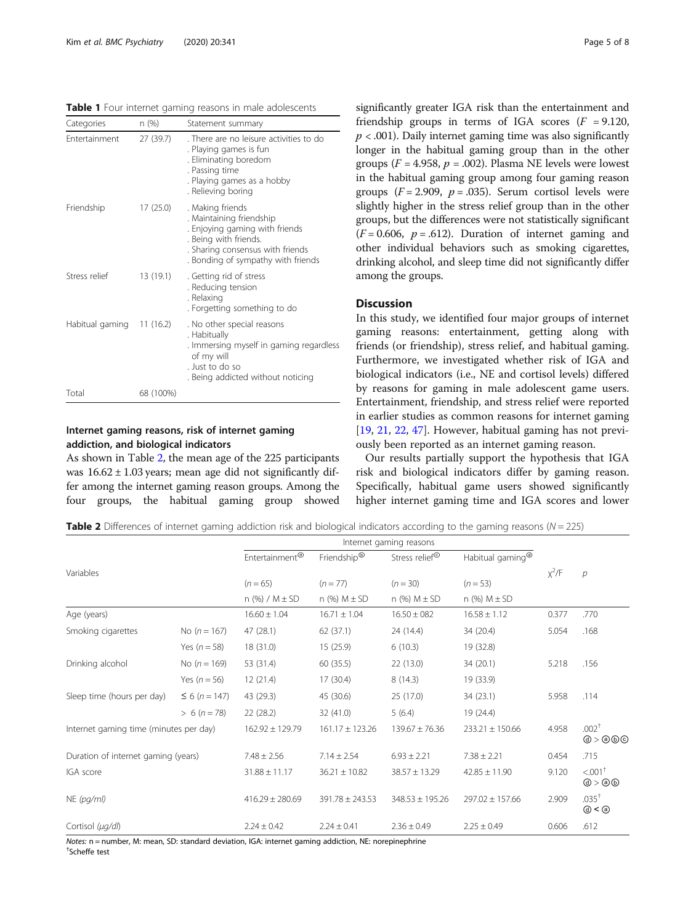<span id="page-4-0"></span>Table 1 Four internet gaming reasons in male adolescents

| Categories                | n (%)     | Statement summary                                                                                                                                                                 |
|---------------------------|-----------|-----------------------------------------------------------------------------------------------------------------------------------------------------------------------------------|
| Entertainment             | 27 (39.7) | . There are no leisure activities to do<br>. Playing games is fun<br>. Eliminating boredom<br>. Passing time<br>. Playing games as a hobby<br>. Relieving boring                  |
| Friendship                | 17(25.0)  | . Making friends<br>. Maintaining friendship<br>. Enjoying gaming with friends<br>. Being with friends.<br>. Sharing consensus with friends<br>. Bonding of sympathy with friends |
| Stress relief             | 13 (19.1) | . Getting rid of stress<br>. Reducing tension<br>. Relaxing<br>. Forgetting something to do                                                                                       |
| Habitual gaming 11 (16.2) |           | . No other special reasons<br>. Habitually<br>. Immersing myself in gaming regardless<br>of my will<br>. Just to do so<br>. Being addicted without noticing                       |
| Total                     | 68 (100%) |                                                                                                                                                                                   |

## Internet gaming reasons, risk of internet gaming addiction, and biological indicators

As shown in Table 2, the mean age of the 225 participants was  $16.62 \pm 1.03$  years; mean age did not significantly differ among the internet gaming reason groups. Among the four groups, the habitual gaming group showed significantly greater IGA risk than the entertainment and friendship groups in terms of IGA scores  $(F = 9.120,$  $p < .001$ ). Daily internet gaming time was also significantly longer in the habitual gaming group than in the other groups ( $F = 4.958$ ,  $p = .002$ ). Plasma NE levels were lowest in the habitual gaming group among four gaming reason groups ( $F = 2.909$ ,  $p = .035$ ). Serum cortisol levels were slightly higher in the stress relief group than in the other groups, but the differences were not statistically significant  $(F = 0.606, p = .612)$ . Duration of internet gaming and other individual behaviors such as smoking cigarettes, drinking alcohol, and sleep time did not significantly differ among the groups.

## Discussion

In this study, we identified four major groups of internet gaming reasons: entertainment, getting along with friends (or friendship), stress relief, and habitual gaming. Furthermore, we investigated whether risk of IGA and biological indicators (i.e., NE and cortisol levels) differed by reasons for gaming in male adolescent game users. Entertainment, friendship, and stress relief were reported in earlier studies as common reasons for internet gaming [[19,](#page-6-0) [21,](#page-6-0) [22,](#page-6-0) [47\]](#page-7-0). However, habitual gaming has not previously been reported as an internet gaming reason.

Our results partially support the hypothesis that IGA risk and biological indicators differ by gaming reason. Specifically, habitual game users showed significantly higher internet gaming time and IGA scores and lower

**Table 2** Differences of internet gaming addiction risk and biological indicators according to the gaming reasons ( $N = 225$ )

|                                        |                    | Entertainment <sup>®</sup> | Friendship®         | Stress relief <sup>®</sup> | Habitual gaming <sup>®</sup> |             |                                                                |
|----------------------------------------|--------------------|----------------------------|---------------------|----------------------------|------------------------------|-------------|----------------------------------------------------------------|
| Variables                              |                    |                            |                     |                            |                              | $\chi^2$ /F | $\mathcal{P}$                                                  |
|                                        |                    | $(n = 65)$                 | $(n = 77)$          | $(n = 30)$                 | $(n=53)$                     |             |                                                                |
|                                        |                    | $n$ (%) / M $\pm$ SD       | n (%) $M \pm SD$    | n (%) $M \pm SD$           | n (%) $M \pm SD$             |             |                                                                |
| Age (years)                            |                    | $16.60 \pm 1.04$           | $16.71 \pm 1.04$    | $16.50 \pm 082$            | $16.58 \pm 1.12$             | 0.377       | .770                                                           |
| Smoking cigarettes                     | No $(n = 167)$     | 47 (28.1)                  | 62(37.1)            | 24 (14.4)                  | 34 (20.4)                    | 5.054       | .168                                                           |
|                                        | Yes ( $n = 58$ )   | 18 (31.0)                  | 15 (25.9)           | 6(10.3)                    | 19 (32.8)                    |             |                                                                |
| Drinking alcohol                       | No $(n = 169)$     | 53 (31.4)                  | 60 (35.5)           | 22(13.0)                   | 34(20.1)                     | 5.218       | .156                                                           |
|                                        | Yes $(n = 56)$     | 12(21.4)                   | 17(30.4)            | 8(14.3)                    | 19 (33.9)                    |             |                                                                |
| Sleep time (hours per day)             | $\leq 6$ (n = 147) | 43 (29.3)                  | 45 (30.6)           | 25(17.0)                   | 34(23.1)                     | 5.958       | .114                                                           |
|                                        | $> 6 (n = 78)$     | 22(28.2)                   | 32 (41.0)           | 5(6.4)                     | 19(24.4)                     |             |                                                                |
| Internet gaming time (minutes per day) |                    | $162.92 \pm 129.79$        | $161.17 \pm 123.26$ | $139.67 \pm 76.36$         | $233.21 \pm 150.66$          | 4.958       | $.002+$<br>@>@@@                                               |
| Duration of internet gaming (years)    |                    | $7.48 \pm 2.56$            | $7.14 \pm 2.54$     | $6.93 \pm 2.21$            | $7.38 \pm 2.21$              | 0.454       | .715                                                           |
| IGA score                              |                    | $31.88 \pm 11.17$          | $36.21 \pm 10.82$   | $38.57 \pm 13.29$          | $42.85 \pm 11.90$            | 9.120       | $< .001$ <sup>+</sup><br>$\textcircled{3}$ > $\textcircled{3}$ |
| $NE$ (pg/ml)                           |                    | $416.29 \pm 280.69$        | $391.78 \pm 243.53$ | $348.53 \pm 195.26$        | $297.02 \pm 157.66$          | 2.909       | $.035^{+}$<br>@ < @                                            |
| Cortisol (µg/dl)                       |                    | $2.24 \pm 0.42$            | $2.24 \pm 0.41$     | $2.36 \pm 0.49$            | $2.25 \pm 0.49$              | 0.606       | .612                                                           |

Notes: n = number, M: mean, SD: standard deviation, IGA: internet gaming addiction, NE: norepinephrine <sup>†</sup>Scheffe test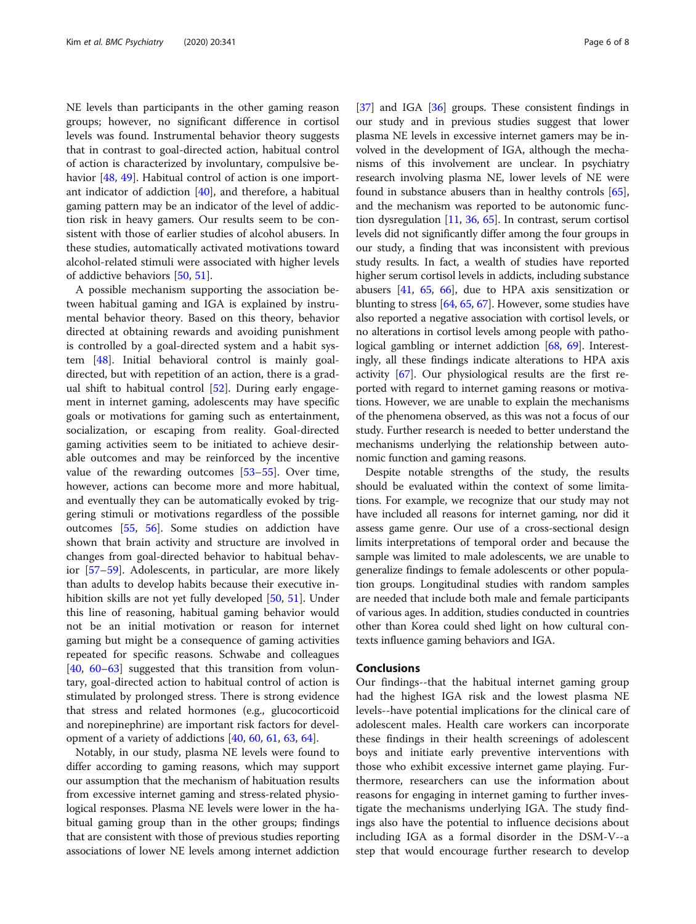NE levels than participants in the other gaming reason groups; however, no significant difference in cortisol levels was found. Instrumental behavior theory suggests that in contrast to goal-directed action, habitual control of action is characterized by involuntary, compulsive be-havior [\[48](#page-7-0), [49](#page-7-0)]. Habitual control of action is one important indicator of addiction [[40](#page-7-0)], and therefore, a habitual gaming pattern may be an indicator of the level of addiction risk in heavy gamers. Our results seem to be consistent with those of earlier studies of alcohol abusers. In these studies, automatically activated motivations toward alcohol-related stimuli were associated with higher levels of addictive behaviors [[50,](#page-7-0) [51\]](#page-7-0).

A possible mechanism supporting the association between habitual gaming and IGA is explained by instrumental behavior theory. Based on this theory, behavior directed at obtaining rewards and avoiding punishment is controlled by a goal-directed system and a habit system [[48\]](#page-7-0). Initial behavioral control is mainly goaldirected, but with repetition of an action, there is a gradual shift to habitual control [\[52](#page-7-0)]. During early engagement in internet gaming, adolescents may have specific goals or motivations for gaming such as entertainment, socialization, or escaping from reality. Goal-directed gaming activities seem to be initiated to achieve desirable outcomes and may be reinforced by the incentive value of the rewarding outcomes [\[53](#page-7-0)–[55](#page-7-0)]. Over time, however, actions can become more and more habitual, and eventually they can be automatically evoked by triggering stimuli or motivations regardless of the possible outcomes [[55,](#page-7-0) [56](#page-7-0)]. Some studies on addiction have shown that brain activity and structure are involved in changes from goal-directed behavior to habitual behavior [[57](#page-7-0)–[59](#page-7-0)]. Adolescents, in particular, are more likely than adults to develop habits because their executive inhibition skills are not yet fully developed [\[50,](#page-7-0) [51](#page-7-0)]. Under this line of reasoning, habitual gaming behavior would not be an initial motivation or reason for internet gaming but might be a consequence of gaming activities repeated for specific reasons. Schwabe and colleagues [[40,](#page-7-0) [60](#page-7-0)–[63](#page-7-0)] suggested that this transition from voluntary, goal-directed action to habitual control of action is stimulated by prolonged stress. There is strong evidence that stress and related hormones (e.g., glucocorticoid and norepinephrine) are important risk factors for development of a variety of addictions [\[40](#page-7-0), [60,](#page-7-0) [61,](#page-7-0) [63,](#page-7-0) [64\]](#page-7-0).

Notably, in our study, plasma NE levels were found to differ according to gaming reasons, which may support our assumption that the mechanism of habituation results from excessive internet gaming and stress-related physiological responses. Plasma NE levels were lower in the habitual gaming group than in the other groups; findings that are consistent with those of previous studies reporting associations of lower NE levels among internet addiction

[[37](#page-7-0)] and IGA [\[36](#page-7-0)] groups. These consistent findings in our study and in previous studies suggest that lower plasma NE levels in excessive internet gamers may be involved in the development of IGA, although the mechanisms of this involvement are unclear. In psychiatry research involving plasma NE, lower levels of NE were found in substance abusers than in healthy controls [[65](#page-7-0)], and the mechanism was reported to be autonomic function dysregulation [[11](#page-6-0), [36](#page-7-0), [65](#page-7-0)]. In contrast, serum cortisol levels did not significantly differ among the four groups in our study, a finding that was inconsistent with previous study results. In fact, a wealth of studies have reported higher serum cortisol levels in addicts, including substance abusers [[41,](#page-7-0) [65](#page-7-0), [66](#page-7-0)], due to HPA axis sensitization or blunting to stress [[64](#page-7-0), [65](#page-7-0), [67\]](#page-7-0). However, some studies have also reported a negative association with cortisol levels, or no alterations in cortisol levels among people with patho-logical gambling or internet addiction [\[68,](#page-7-0) [69\]](#page-7-0). Interestingly, all these findings indicate alterations to HPA axis activity [\[67](#page-7-0)]. Our physiological results are the first reported with regard to internet gaming reasons or motivations. However, we are unable to explain the mechanisms of the phenomena observed, as this was not a focus of our study. Further research is needed to better understand the mechanisms underlying the relationship between autonomic function and gaming reasons.

Despite notable strengths of the study, the results should be evaluated within the context of some limitations. For example, we recognize that our study may not have included all reasons for internet gaming, nor did it assess game genre. Our use of a cross-sectional design limits interpretations of temporal order and because the sample was limited to male adolescents, we are unable to generalize findings to female adolescents or other population groups. Longitudinal studies with random samples are needed that include both male and female participants of various ages. In addition, studies conducted in countries other than Korea could shed light on how cultural contexts influence gaming behaviors and IGA.

## Conclusions

Our findings--that the habitual internet gaming group had the highest IGA risk and the lowest plasma NE levels--have potential implications for the clinical care of adolescent males. Health care workers can incorporate these findings in their health screenings of adolescent boys and initiate early preventive interventions with those who exhibit excessive internet game playing. Furthermore, researchers can use the information about reasons for engaging in internet gaming to further investigate the mechanisms underlying IGA. The study findings also have the potential to influence decisions about including IGA as a formal disorder in the DSM-V--a step that would encourage further research to develop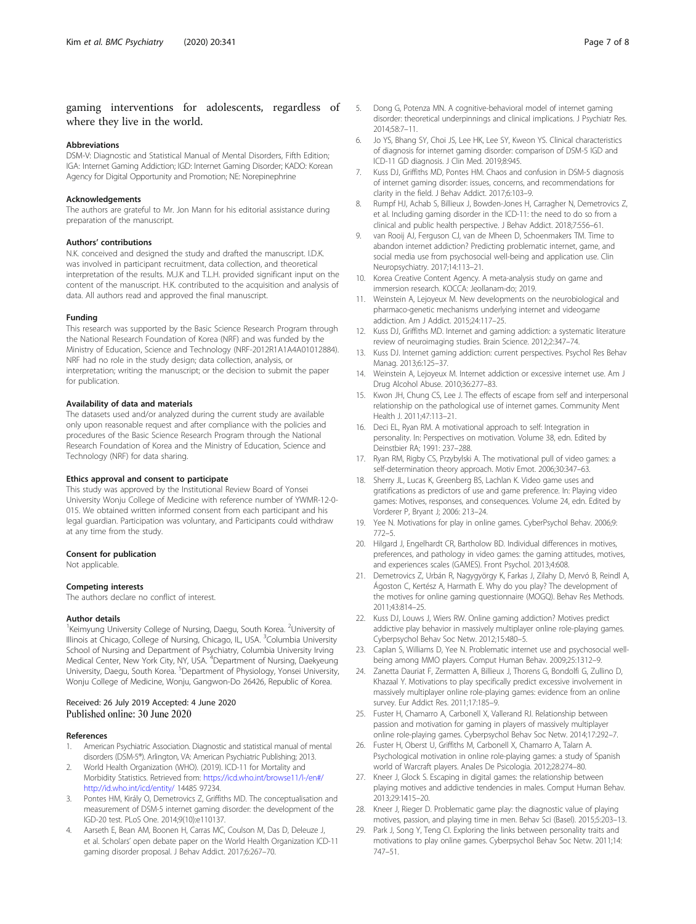## <span id="page-6-0"></span>gaming interventions for adolescents, regardless of where they live in the world.

### Abbreviations

DSM-V: Diagnostic and Statistical Manual of Mental Disorders, Fifth Edition; IGA: Internet Gaming Addiction; IGD: Internet Gaming Disorder; KADO: Korean Agency for Digital Opportunity and Promotion; NE: Norepinephrine

#### Acknowledgements

The authors are grateful to Mr. Jon Mann for his editorial assistance during preparation of the manuscript.

#### Authors' contributions

N.K. conceived and designed the study and drafted the manuscript. I.D.K. was involved in participant recruitment, data collection, and theoretical interpretation of the results. M.J.K and T.L.H. provided significant input on the content of the manuscript. H.K. contributed to the acquisition and analysis of data. All authors read and approved the final manuscript.

#### Funding

This research was supported by the Basic Science Research Program through the National Research Foundation of Korea (NRF) and was funded by the Ministry of Education, Science and Technology (NRF-2012R1A1A4A01012884). NRF had no role in the study design; data collection, analysis, or interpretation; writing the manuscript; or the decision to submit the paper for publication.

### Availability of data and materials

The datasets used and/or analyzed during the current study are available only upon reasonable request and after compliance with the policies and procedures of the Basic Science Research Program through the National Research Foundation of Korea and the Ministry of Education, Science and Technology (NRF) for data sharing.

#### Ethics approval and consent to participate

This study was approved by the Institutional Review Board of Yonsei University Wonju College of Medicine with reference number of YWMR-12-0- 015. We obtained written informed consent from each participant and his legal guardian. Participation was voluntary, and Participants could withdraw at any time from the study.

## Consent for publication

Not applicable.

## Competing interests

The authors declare no conflict of interest.

## Author details

<sup>1</sup>Keimyung University College of Nursing, Daegu, South Korea. <sup>2</sup>University of Illinois at Chicago, College of Nursing, Chicago, IL, USA. <sup>3</sup>Columbia University School of Nursing and Department of Psychiatry, Columbia University Irving Medical Center, New York City, NY, USA. <sup>4</sup>Department of Nursing, Daekyeung University, Daegu, South Korea. <sup>5</sup>Department of Physiology, Yonsei University, Wonju College of Medicine, Wonju, Gangwon-Do 26426, Republic of Korea.

## Received: 26 July 2019 Accepted: 4 June 2020 Published online: 30 June 2020

#### References

- 1. American Psychiatric Association. Diagnostic and statistical manual of mental disorders (DSM-5®). Arlington, VA: American Psychiatric Publishing; 2013.
- 2. World Health Organization (WHO). (2019). ICD-11 for Mortality and Morbidity Statistics. Retrieved from: [https://icd.who.int/browse11/l-/en#/](https://icd.who.int/browse11/l-/en#/http://id.who.int/icd/entity/) [http://id.who.int/icd/entity/](https://icd.who.int/browse11/l-/en#/http://id.who.int/icd/entity/) 14485 97234.
- 3. Pontes HM, Király O, Demetrovics Z, Griffiths MD. The conceptualisation and measurement of DSM-5 internet gaming disorder: the development of the IGD-20 test. PLoS One. 2014;9(10):e110137.
- 4. Aarseth E, Bean AM, Boonen H, Carras MC, Coulson M, Das D, Deleuze J, et al. Scholars' open debate paper on the World Health Organization ICD-11 gaming disorder proposal. J Behav Addict. 2017;6:267–70.
- 5. Dong G, Potenza MN. A cognitive-behavioral model of internet gaming disorder: theoretical underpinnings and clinical implications. J Psychiatr Res. 2014;58:7–11.
- 6. Jo YS, Bhang SY, Choi JS, Lee HK, Lee SY, Kweon YS. Clinical characteristics of diagnosis for internet gaming disorder: comparison of DSM-5 IGD and ICD-11 GD diagnosis. J Clin Med. 2019;8:945.
- Kuss DJ, Griffiths MD, Pontes HM. Chaos and confusion in DSM-5 diagnosis of internet gaming disorder: issues, concerns, and recommendations for clarity in the field. J Behav Addict. 2017;6:103–9.
- 8. Rumpf HJ, Achab S, Billieux J, Bowden-Jones H, Carragher N, Demetrovics Z, et al. Including gaming disorder in the ICD-11: the need to do so from a clinical and public health perspective. J Behav Addict. 2018;7:556–61.
- 9. van Rooij AJ, Ferguson CJ, van de Mheen D, Schoenmakers TM. Time to abandon internet addiction? Predicting problematic internet, game, and social media use from psychosocial well-being and application use. Clin Neuropsychiatry. 2017;14:113–21.
- 10. Korea Creative Content Agency. A meta-analysis study on game and immersion research. KOCCA: Jeollanam-do; 2019.
- 11. Weinstein A, Lejoyeux M. New developments on the neurobiological and pharmaco-genetic mechanisms underlying internet and videogame addiction. Am J Addict. 2015;24:117–25.
- 12. Kuss DJ, Griffiths MD. Internet and gaming addiction: a systematic literature review of neuroimaging studies. Brain Science. 2012;2:347–74.
- 13. Kuss DJ. Internet gaming addiction: current perspectives. Psychol Res Behav Manag. 2013;6:125–37.
- 14. Weinstein A, Lejoyeux M. Internet addiction or excessive internet use. Am J Drug Alcohol Abuse. 2010;36:277–83.
- 15. Kwon JH, Chung CS, Lee J. The effects of escape from self and interpersonal relationship on the pathological use of internet games. Community Ment Health J. 2011;47:113–21.
- 16. Deci EL, Ryan RM. A motivational approach to self: Integration in personality. In: Perspectives on motivation. Volume 38, edn. Edited by Deinstbier RA; 1991: 237–288.
- 17. Ryan RM, Rigby CS, Przybylski A. The motivational pull of video games: a self-determination theory approach. Motiv Emot. 2006;30:347–63.
- 18. Sherry JL, Lucas K, Greenberg BS, Lachlan K. Video game uses and gratifications as predictors of use and game preference. In: Playing video games: Motives, responses, and consequences. Volume 24, edn. Edited by Vorderer P, Bryant J; 2006: 213–24.
- 19. Yee N. Motivations for play in online games. CyberPsychol Behav. 2006;9: 772–5.
- 20. Hilgard J, Engelhardt CR, Bartholow BD. Individual differences in motives, preferences, and pathology in video games: the gaming attitudes, motives, and experiences scales (GAMES). Front Psychol. 2013;4:608.
- 21. Demetrovics Z, Urbán R, Nagygyörgy K, Farkas J, Zilahy D, Mervó B, Reindl A, Ágoston C, Kertész A, Harmath E. Why do you play? The development of the motives for online gaming questionnaire (MOGQ). Behav Res Methods. 2011;43:814–25.
- 22. Kuss DJ, Louws J, Wiers RW. Online gaming addiction? Motives predict addictive play behavior in massively multiplayer online role-playing games. Cyberpsychol Behav Soc Netw. 2012;15:480–5.
- 23. Caplan S, Williams D, Yee N. Problematic internet use and psychosocial wellbeing among MMO players. Comput Human Behav. 2009;25:1312–9.
- 24. Zanetta Dauriat F, Zermatten A, Billieux J, Thorens G, Bondolfi G, Zullino D, Khazaal Y. Motivations to play specifically predict excessive involvement in massively multiplayer online role-playing games: evidence from an online survey. Eur Addict Res. 2011;17:185–9.
- 25. Fuster H, Chamarro A, Carbonell X, Vallerand RJ. Relationship between passion and motivation for gaming in players of massively multiplayer online role-playing games. Cyberpsychol Behav Soc Netw. 2014;17:292–7.
- 26. Fuster H, Oberst U, Griffiths M, Carbonell X, Chamarro A, Talarn A. Psychological motivation in online role-playing games: a study of Spanish world of Warcraft players. Anales De Psicologia. 2012;28:274–80.
- 27. Kneer J, Glock S. Escaping in digital games: the relationship between playing motives and addictive tendencies in males. Comput Human Behav. 2013;29:1415–20.
- 28. Kneer J, Rieger D. Problematic game play: the diagnostic value of playing motives, passion, and playing time in men. Behav Sci (Basel). 2015;5:203–13.
- 29. Park J, Song Y, Teng CI. Exploring the links between personality traits and motivations to play online games. Cyberpsychol Behav Soc Netw. 2011;14: 747–51.